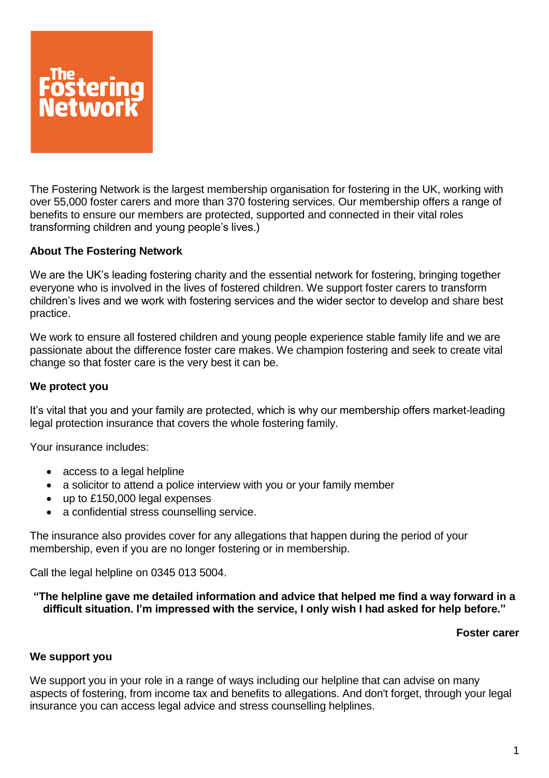

The Fostering Network is the largest membership organisation for fostering in the UK, working with over 55,000 foster carers and more than 370 fostering services. Our membership offers a range of benefits to ensure our members are protected, supported and connected in their vital roles transforming children and young people's lives.)

# **About The Fostering Network**

We are the UK's leading fostering charity and the essential network for fostering, bringing together everyone who is involved in the lives of fostered children. We support foster carers to transform children's lives and we work with fostering services and the wider sector to develop and share best practice.

We work to ensure all fostered children and young people experience stable family life and we are passionate about the difference foster care makes. We champion fostering and seek to create vital change so that foster care is the very best it can be.

## **We protect you**

It's vital that you and your family are protected, which is why our membership offers market-leading legal protection insurance that covers the whole fostering family.

Your insurance includes:

- access to a legal helpline
- a solicitor to attend a police interview with you or your family member
- up to £150,000 legal expenses
- a confidential stress counselling service.

The insurance also provides cover for any allegations that happen during the period of your membership, even if you are no longer fostering or in membership.

Call the legal helpline on 0345 013 5004.

### **"The helpline gave me detailed information and advice that helped me find a way forward in a difficult situation. I'm impressed with the service, I only wish I had asked for help before."**

### **Foster carer**

### **We support you**

We support you in your role in a range of ways including our helpline that can advise on many aspects of fostering, from income tax and benefits to allegations. And don't forget, through your legal insurance you can access legal advice and stress counselling helplines.